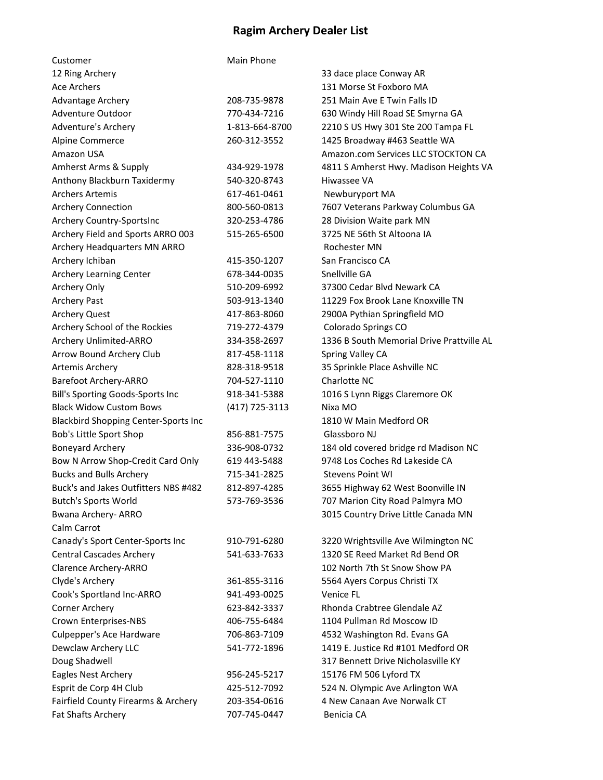## Ragim Archery Dealer List

| Customer                                    | Main Phone     |                                           |
|---------------------------------------------|----------------|-------------------------------------------|
| 12 Ring Archery                             |                | 33 dace place Conway AR                   |
| <b>Ace Archers</b>                          |                | 131 Morse St Foxboro MA                   |
| Advantage Archery                           | 208-735-9878   | 251 Main Ave E Twin Falls ID              |
| Adventure Outdoor                           | 770-434-7216   | 630 Windy Hill Road SE Smyrna GA          |
| Adventure's Archery                         | 1-813-664-8700 | 2210 S US Hwy 301 Ste 200 Tampa FL        |
| Alpine Commerce                             | 260-312-3552   | 1425 Broadway #463 Seattle WA             |
| Amazon USA                                  |                | Amazon.com Services LLC STOCKTON CA       |
| Amherst Arms & Supply                       | 434-929-1978   | 4811 S Amherst Hwy. Madison Heights VA    |
| Anthony Blackburn Taxidermy                 | 540-320-8743   | Hiwassee VA                               |
| <b>Archers Artemis</b>                      | 617-461-0461   | Newburyport MA                            |
| <b>Archery Connection</b>                   | 800-560-0813   | 7607 Veterans Parkway Columbus GA         |
| Archery Country-SportsInc                   | 320-253-4786   | 28 Division Waite park MN                 |
| Archery Field and Sports ARRO 003           | 515-265-6500   | 3725 NE 56th St Altoona IA                |
| Archery Headquarters MN ARRO                |                | <b>Rochester MN</b>                       |
| Archery Ichiban                             | 415-350-1207   | San Francisco CA                          |
| Archery Learning Center                     | 678-344-0035   | Snellville GA                             |
| Archery Only                                | 510-209-6992   | 37300 Cedar Blvd Newark CA                |
| <b>Archery Past</b>                         | 503-913-1340   | 11229 Fox Brook Lane Knoxville TN         |
| <b>Archery Quest</b>                        | 417-863-8060   | 2900A Pythian Springfield MO              |
| Archery School of the Rockies               | 719-272-4379   | Colorado Springs CO                       |
| Archery Unlimited-ARRO                      | 334-358-2697   | 1336 B South Memorial Drive Prattville AL |
| Arrow Bound Archery Club                    | 817-458-1118   | Spring Valley CA                          |
| Artemis Archery                             | 828-318-9518   | 35 Sprinkle Place Ashville NC             |
| Barefoot Archery-ARRO                       | 704-527-1110   | Charlotte NC                              |
| Bill's Sporting Goods-Sports Inc            | 918-341-5388   | 1016 S Lynn Riggs Claremore OK            |
| <b>Black Widow Custom Bows</b>              | (417) 725-3113 | Nixa MO                                   |
| <b>Blackbird Shopping Center-Sports Inc</b> |                | 1810 W Main Medford OR                    |
| Bob's Little Sport Shop                     | 856-881-7575   | Glassboro NJ                              |
| <b>Boneyard Archery</b>                     | 336-908-0732   | 184 old covered bridge rd Madison NC      |
| Bow N Arrow Shop-Credit Card Only           | 619 443-5488   | 9748 Los Coches Rd Lakeside CA            |
| <b>Bucks and Bulls Archery</b>              | 715-341-2825   | <b>Stevens Point WI</b>                   |
| Buck's and Jakes Outfitters NBS #482        | 812-897-4285   | 3655 Highway 62 West Boonville IN         |
| <b>Butch's Sports World</b>                 | 573-769-3536   | 707 Marion City Road Palmyra MO           |
| Bwana Archery- ARRO                         |                | 3015 Country Drive Little Canada MN       |
| Calm Carrot                                 |                |                                           |
| Canady's Sport Center-Sports Inc            | 910-791-6280   | 3220 Wrightsville Ave Wilmington NC       |
| <b>Central Cascades Archery</b>             | 541-633-7633   | 1320 SE Reed Market Rd Bend OR            |
| Clarence Archery-ARRO                       |                | 102 North 7th St Snow Show PA             |
| Clyde's Archery                             | 361-855-3116   | 5564 Ayers Corpus Christi TX              |
| Cook's Sportland Inc-ARRO                   | 941-493-0025   | Venice FL                                 |
| Corner Archery                              | 623-842-3337   | Rhonda Crabtree Glendale AZ               |
| Crown Enterprises-NBS                       | 406-755-6484   | 1104 Pullman Rd Moscow ID                 |
| Culpepper's Ace Hardware                    | 706-863-7109   | 4532 Washington Rd. Evans GA              |
| Dewclaw Archery LLC                         | 541-772-1896   | 1419 E. Justice Rd #101 Medford OR        |
| Doug Shadwell                               |                | 317 Bennett Drive Nicholasville KY        |
| Eagles Nest Archery                         | 956-245-5217   | 15176 FM 506 Lyford TX                    |
| Esprit de Corp 4H Club                      | 425-512-7092   | 524 N. Olympic Ave Arlington WA           |
| Fairfield County Firearms & Archery         | 203-354-0616   | 4 New Canaan Ave Norwalk CT               |
| Fat Shafts Archery                          | 707-745-0447   | Benicia CA                                |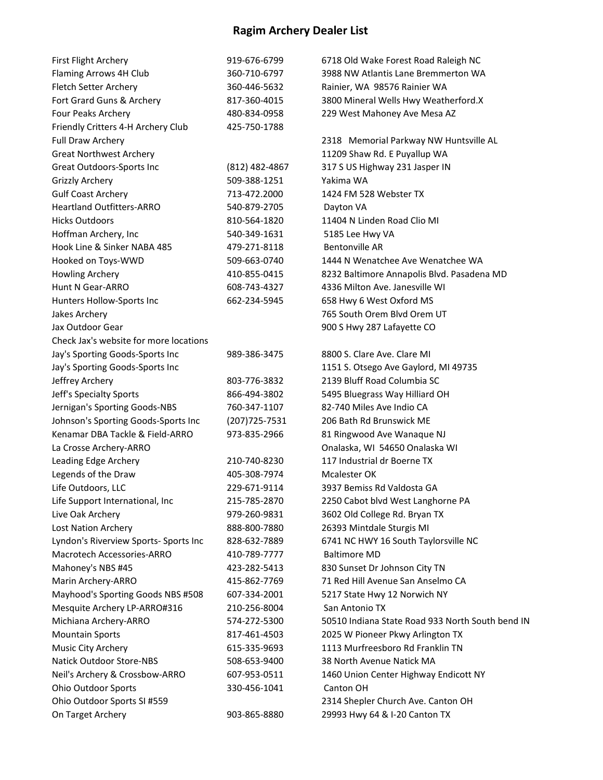## Ragim Archery Dealer List

| First Flight Archery                   | 919-676-6799     | 6718 Old Wake Forest Road Raleigh NC             |
|----------------------------------------|------------------|--------------------------------------------------|
| Flaming Arrows 4H Club                 | 360-710-6797     | 3988 NW Atlantis Lane Bremmerton WA              |
| Fletch Setter Archery                  | 360-446-5632     | Rainier, WA 98576 Rainier WA                     |
| Fort Grard Guns & Archery              | 817-360-4015     | 3800 Mineral Wells Hwy Weatherford.X             |
| Four Peaks Archery                     | 480-834-0958     | 229 West Mahoney Ave Mesa AZ                     |
| Friendly Critters 4-H Archery Club     | 425-750-1788     |                                                  |
| Full Draw Archery                      |                  | 2318 Memorial Parkway NW Huntsville AL           |
| <b>Great Northwest Archery</b>         |                  | 11209 Shaw Rd. E Puyallup WA                     |
| Great Outdoors-Sports Inc              | $(812)$ 482-4867 | 317 S US Highway 231 Jasper IN                   |
| <b>Grizzly Archery</b>                 | 509-388-1251     | Yakima WA                                        |
| <b>Gulf Coast Archery</b>              | 713-472.2000     | 1424 FM 528 Webster TX                           |
| <b>Heartland Outfitters-ARRO</b>       | 540-879-2705     | Dayton VA                                        |
| <b>Hicks Outdoors</b>                  | 810-564-1820     | 11404 N Linden Road Clio MI                      |
| Hoffman Archery, Inc                   | 540-349-1631     | 5185 Lee Hwy VA                                  |
| Hook Line & Sinker NABA 485            | 479-271-8118     | <b>Bentonville AR</b>                            |
| Hooked on Toys-WWD                     | 509-663-0740     | 1444 N Wenatchee Ave Wenatchee WA                |
| <b>Howling Archery</b>                 | 410-855-0415     | 8232 Baltimore Annapolis Blvd. Pasadena MD       |
| Hunt N Gear-ARRO                       | 608-743-4327     | 4336 Milton Ave. Janesville WI                   |
| Hunters Hollow-Sports Inc              | 662-234-5945     | 658 Hwy 6 West Oxford MS                         |
| Jakes Archery                          |                  | 765 South Orem Blvd Orem UT                      |
| Jax Outdoor Gear                       |                  | 900 S Hwy 287 Lafayette CO                       |
| Check Jax's website for more locations |                  |                                                  |
| Jay's Sporting Goods-Sports Inc        | 989-386-3475     | 8800 S. Clare Ave. Clare MI                      |
| Jay's Sporting Goods-Sports Inc        |                  | 1151 S. Otsego Ave Gaylord, MI 49735             |
| Jeffrey Archery                        | 803-776-3832     | 2139 Bluff Road Columbia SC                      |
| Jeff's Specialty Sports                | 866-494-3802     | 5495 Bluegrass Way Hilliard OH                   |
| Jernigan's Sporting Goods-NBS          | 760-347-1107     | 82-740 Miles Ave Indio CA                        |
| Johnson's Sporting Goods-Sports Inc    | (207) 725-7531   | 206 Bath Rd Brunswick ME                         |
| Kenamar DBA Tackle & Field-ARRO        | 973-835-2966     | 81 Ringwood Ave Wanaque NJ                       |
| La Crosse Archery-ARRO                 |                  | Onalaska, WI 54650 Onalaska WI                   |
| Leading Edge Archery                   | 210-740-8230     | 117 Industrial dr Boerne TX                      |
| Legends of the Draw                    | 405-308-7974     | Mcalester OK                                     |
| Life Outdoors, LLC                     | 229-671-9114     | 3937 Bemiss Rd Valdosta GA                       |
| Life Support International, Inc        | 215-785-2870     | 2250 Cabot blvd West Langhorne PA                |
| Live Oak Archery                       | 979-260-9831     | 3602 Old College Rd. Bryan TX                    |
| Lost Nation Archery                    | 888-800-7880     | 26393 Mintdale Sturgis MI                        |
| Lyndon's Riverview Sports- Sports Inc  | 828-632-7889     | 6741 NC HWY 16 South Taylorsville NC             |
| <b>Macrotech Accessories-ARRO</b>      | 410-789-7777     | <b>Baltimore MD</b>                              |
| Mahoney's NBS #45                      | 423-282-5413     | 830 Sunset Dr Johnson City TN                    |
| Marin Archery-ARRO                     | 415-862-7769     | 71 Red Hill Avenue San Anselmo CA                |
| Mayhood's Sporting Goods NBS #508      | 607-334-2001     | 5217 State Hwy 12 Norwich NY                     |
| Mesquite Archery LP-ARRO#316           | 210-256-8004     | San Antonio TX                                   |
| Michiana Archery-ARRO                  | 574-272-5300     | 50510 Indiana State Road 933 North South bend IN |
| <b>Mountain Sports</b>                 | 817-461-4503     | 2025 W Pioneer Pkwy Arlington TX                 |
| Music City Archery                     | 615-335-9693     | 1113 Murfreesboro Rd Franklin TN                 |
| <b>Natick Outdoor Store-NBS</b>        | 508-653-9400     | 38 North Avenue Natick MA                        |
| Neil's Archery & Crossbow-ARRO         | 607-953-0511     | 1460 Union Center Highway Endicott NY            |
| <b>Ohio Outdoor Sports</b>             | 330-456-1041     | Canton OH                                        |
| Ohio Outdoor Sports SI #559            |                  | 2314 Shepler Church Ave. Canton OH               |
| On Target Archery                      | 903-865-8880     | 29993 Hwy 64 & I-20 Canton TX                    |